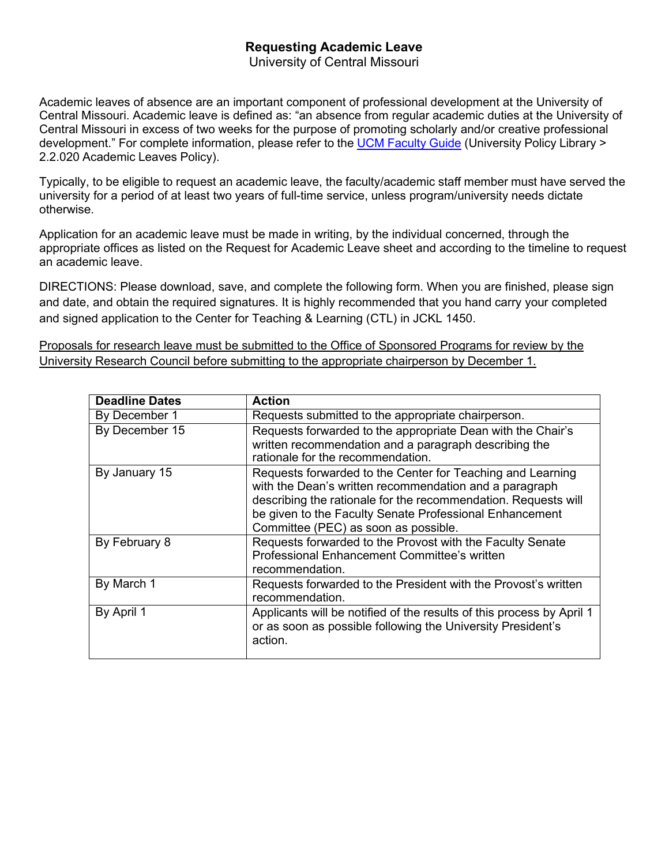# **Requesting Academic Leave**

University of Central Missouri

Academic leaves of absence are an important component of professional development at the University of Central Missouri. Academic leave is defined as: "an absence from regular academic duties at the University of Central Missouri in excess of two weeks for the purpose of promoting scholarly and/or creative professional development." For complete information, please refer to the UCM [Faculty](https://www.ucmo.edu/offices/general-counsel/university-policy-library/policies/academic-leaves-policy/index.php) Guide (University Policy Library > 2.2.020 Academic Leaves Policy).

Typically, to be eligible to request an academic leave, the faculty/academic staff member must have served the university for a period of at least two years of full-time service, unless program/university needs dictate otherwise.

Application for an academic leave must be made in writing, by the individual concerned, through the appropriate offices as listed on the Request for Academic Leave sheet and according to the timeline to request an academic leave.

DIRECTIONS: Please download, save, and complete the following form. When you are finished, please sign and date, and obtain the required signatures. It is highly recommended that you hand carry your completed and signed application to the Center for Teaching & Learning (CTL) in JCKL 1450.

Proposals for research leave must be submitted to the Office of Sponsored Programs for review by the University Research Council before submitting to the appropriate chairperson by December 1.

| <b>Deadline Dates</b> | <b>Action</b>                                                                              |
|-----------------------|--------------------------------------------------------------------------------------------|
| By December 1         | Requests submitted to the appropriate chairperson.                                         |
| By December 15        | Requests forwarded to the appropriate Dean with the Chair's                                |
|                       | written recommendation and a paragraph describing the<br>rationale for the recommendation. |
| By January 15         | Requests forwarded to the Center for Teaching and Learning                                 |
|                       | with the Dean's written recommendation and a paragraph                                     |
|                       | describing the rationale for the recommendation. Requests will                             |
|                       | be given to the Faculty Senate Professional Enhancement                                    |
|                       | Committee (PEC) as soon as possible.                                                       |
| By February 8         | Requests forwarded to the Provost with the Faculty Senate                                  |
|                       | <b>Professional Enhancement Committee's written</b>                                        |
|                       | recommendation.                                                                            |
| By March 1            | Requests forwarded to the President with the Provost's written                             |
|                       | recommendation.                                                                            |
| By April 1            | Applicants will be notified of the results of this process by April 1                      |
|                       | or as soon as possible following the University President's                                |
|                       | action.                                                                                    |
|                       |                                                                                            |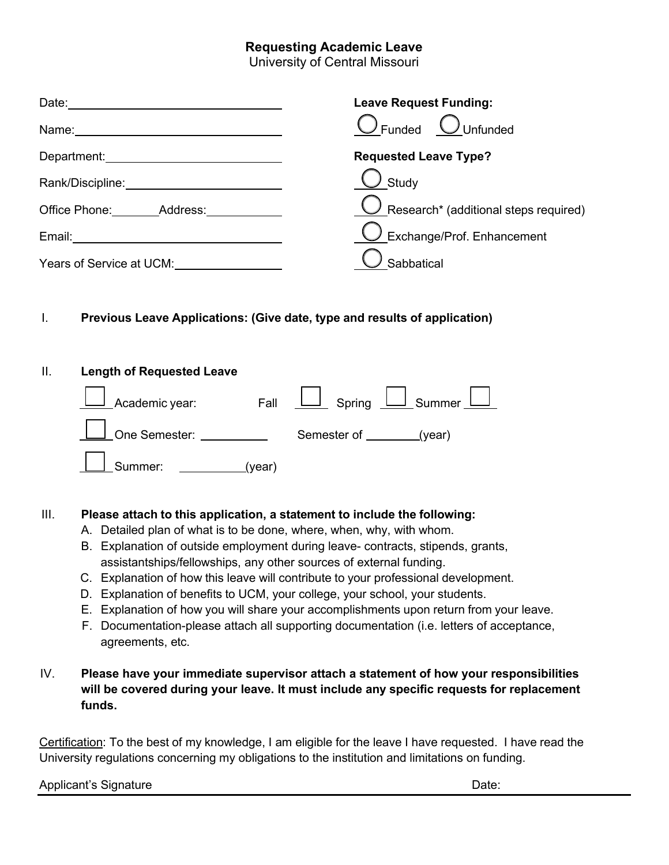# **Requesting Academic Leave**

University of Central Missouri

| Date:                    | <b>Leave Request Funding:</b>                      |
|--------------------------|----------------------------------------------------|
| Name:                    | $\int$ Unfunded<br>Funded                          |
| Department:              | <b>Requested Leave Type?</b>                       |
| Rank/Discipline:         | Study                                              |
| Office Phone: Address:   | UResearch <sup>*</sup> (additional steps required) |
| Email:                   | $\big)$ Exchange/Prof. Enhancement                 |
| Years of Service at UCM: | Sabbatical                                         |

## I. **Previous Leave Applications: (Give date, type and results of application)**

#### II. **Length of Requested Leave**



## III. **Please attach to this application, a statement to include the following:**

- A. Detailed plan of what is to be done, where, when, why, with whom.
- B. Explanation of outside employment during leave- contracts, stipends, grants, assistantships/fellowships, any other sources of external funding.
- C. Explanation of how this leave will contribute to your professional development.
- D. Explanation of benefits to UCM, your college, your school, your students.
- E. Explanation of how you will share your accomplishments upon return from your leave.
- F. Documentation-please attach all supporting documentation (i.e. letters of acceptance, agreements, etc.

## IV. **Please have your immediate supervisor attach a statement of how your responsibilities will be covered during your leave. It must include any specific requests for replacement funds.**

Certification: To the best of my knowledge, I am eligible for the leave I have requested. I have read the University regulations concerning my obligations to the institution and limitations on funding.

Applicant's Signature **Date:** Applicant's Signature **Date:** 2014